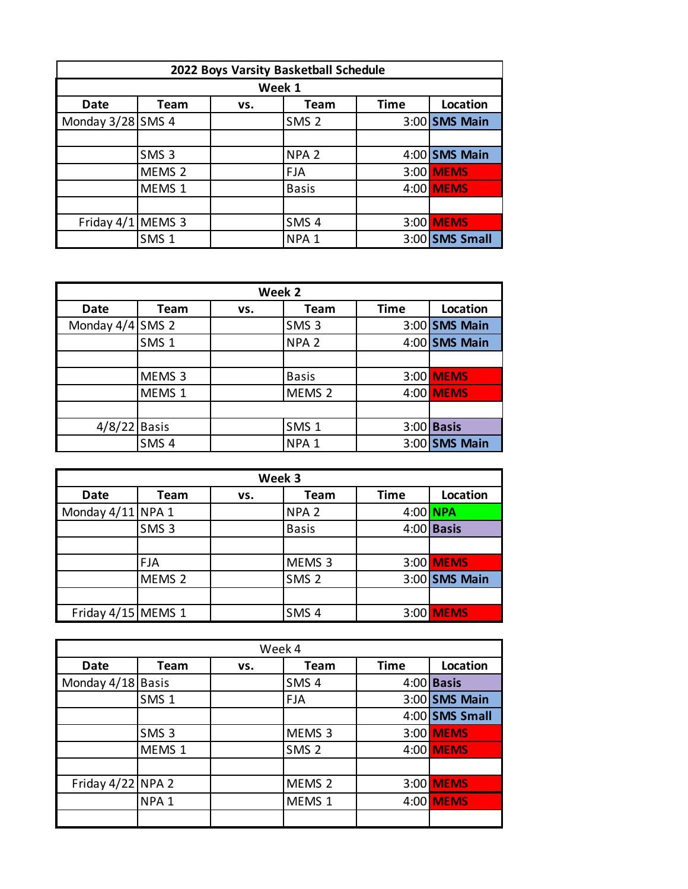|                   |                   |        | 2022 Boys Varsity Basketball Schedule |             |                 |
|-------------------|-------------------|--------|---------------------------------------|-------------|-----------------|
|                   |                   | Week 1 |                                       |             |                 |
| Date              | <b>Team</b>       | VS.    | Team                                  | <b>Time</b> | Location        |
| Monday 3/28 SMS 4 |                   |        | SMS <sub>2</sub>                      |             | $3:00$ SMS Main |
|                   |                   |        |                                       |             |                 |
|                   | SMS <sub>3</sub>  |        | NPA <sub>2</sub>                      |             | $4:00$ SMS Main |
|                   | MEMS <sub>2</sub> |        | <b>FJA</b>                            |             | 3:00 MEMS       |
|                   | MEMS <sub>1</sub> |        | <b>Basis</b>                          |             | 4:00 MEMS       |
|                   |                   |        |                                       |             |                 |
| Friday 4/1 MEMS 3 |                   |        | SMS <sub>4</sub>                      |             | 3:00 MEMS       |
|                   | SMS <sub>1</sub>  |        | NPA <sub>1</sub>                      |             | 3:00 SMS Small  |

| Week 2           |                   |     |                   |             |                 |
|------------------|-------------------|-----|-------------------|-------------|-----------------|
| <b>Date</b>      | <b>Team</b>       | VS. | <b>Team</b>       | <b>Time</b> | Location        |
| Monday 4/4 SMS 2 |                   |     | SMS <sub>3</sub>  |             | $3:00$ SMS Main |
|                  | SMS <sub>1</sub>  |     | NPA <sub>2</sub>  |             | $4:00$ SMS Main |
|                  |                   |     |                   |             |                 |
|                  | MEMS <sub>3</sub> |     | <b>Basis</b>      |             | 3:00 MEMS       |
|                  | MEMS 1            |     | MEMS <sub>2</sub> |             | 4:00 MEMS       |
|                  |                   |     |                   |             |                 |
| $4/8/22$ Basis   |                   |     | SMS <sub>1</sub>  |             | $3:00$ Basis    |
|                  | SMS <sub>4</sub>  |     | NPA <sub>1</sub>  |             | $3:00$ SMS Main |

|                    | Week 3            |     |                   |             |                 |  |
|--------------------|-------------------|-----|-------------------|-------------|-----------------|--|
| <b>Date</b>        | Team              | VS. | Team              | <b>Time</b> | Location        |  |
| Monday 4/11 NPA 1  |                   |     | NPA <sub>2</sub>  | 4:00 NPA    |                 |  |
|                    | SMS <sub>3</sub>  |     | <b>Basis</b>      |             | $4:00$ Basis    |  |
|                    |                   |     |                   |             |                 |  |
|                    | <b>FJA</b>        |     | MEMS <sub>3</sub> |             | 3:00 MEMS       |  |
|                    | MEMS <sub>2</sub> |     | SMS <sub>2</sub>  |             | $3:00$ SMS Main |  |
|                    |                   |     |                   |             |                 |  |
| Friday 4/15 MEMS 1 |                   |     | SMS <sub>4</sub>  |             | 3:00 MEMS       |  |

| Week 4            |                  |     |                   |             |                 |  |
|-------------------|------------------|-----|-------------------|-------------|-----------------|--|
| <b>Date</b>       | Team             | VS. | Team              | <b>Time</b> | Location        |  |
| Monday 4/18 Basis |                  |     | SMS <sub>4</sub>  |             | $4:00$ Basis    |  |
|                   | SMS <sub>1</sub> |     | <b>FJA</b>        |             | $3:00$ SMS Main |  |
|                   |                  |     |                   |             | 4:00 SMS Small  |  |
|                   | SMS <sub>3</sub> |     | MEMS <sub>3</sub> |             | 3:00 MEMS       |  |
|                   | MEMS 1           |     | SMS <sub>2</sub>  |             | 4:00 MEMS       |  |
|                   |                  |     |                   |             |                 |  |
| Friday 4/22 NPA 2 |                  |     | MEMS <sub>2</sub> |             | 3:00 MEMS       |  |
|                   | NPA <sub>1</sub> |     | MEMS 1            |             | 4:00 MEMS       |  |
|                   |                  |     |                   |             |                 |  |